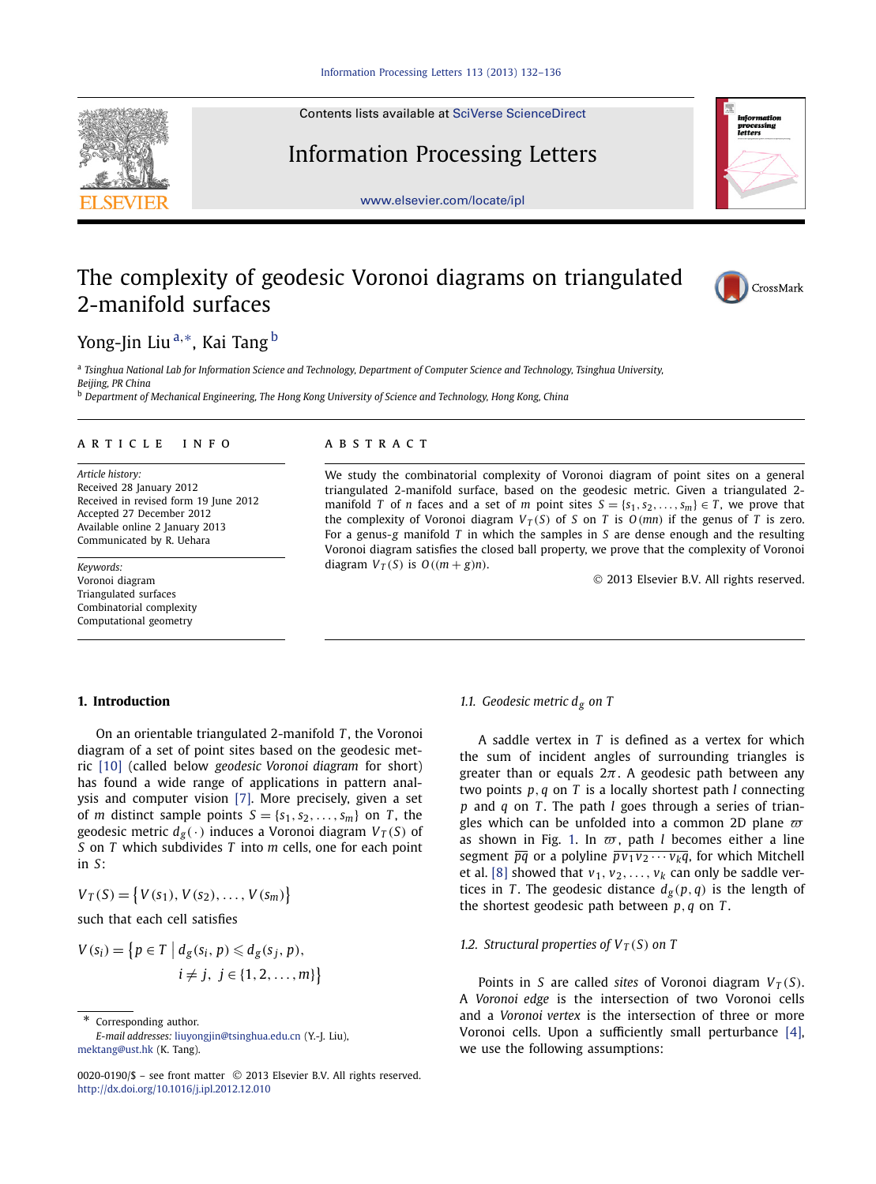Contents lists available at [SciVerse ScienceDirect](http://www.ScienceDirect.com/)

# Information Processing Letters

[www.elsevier.com/locate/ipl](http://www.elsevier.com/locate/ipl)

# The complexity of geodesic Voronoi diagrams on triangulated 2-manifold surfaces

Yong-Jin Liu <sup>a</sup>*,*∗, Kai Tang <sup>b</sup>

<sup>a</sup> *Tsinghua National Lab for Information Science and Technology, Department of Computer Science and Technology, Tsinghua University, Beijing, PR China*

<sup>b</sup> *Department of Mechanical Engineering, The Hong Kong University of Science and Technology, Hong Kong, China*

# article info abstract

*Article history:* Received 28 January 2012 Received in revised form 19 June 2012 Accepted 27 December 2012 Available online 2 January 2013 Communicated by R. Uehara

*Keywords:* Voronoi diagram Triangulated surfaces Combinatorial complexity Computational geometry

We study the combinatorial complexity of Voronoi diagram of point sites on a general triangulated 2-manifold surface, based on the geodesic metric. Given a triangulated 2 manifold *T* of *n* faces and a set of *m* point sites  $S = \{s_1, s_2, \ldots, s_m\} \in T$ , we prove that the complexity of Voronoi diagram  $V_T(S)$  of *S* on *T* is  $O(mn)$  if the genus of *T* is zero. For a genus-*g* manifold *T* in which the samples in *S* are dense enough and the resulting Voronoi diagram satisfies the closed ball property, we prove that the complexity of Voronoi diagram  $V_T(S)$  is  $O((m + g)n)$ .

© 2013 Elsevier B.V. All rights reserved.

# **1. Introduction**

On an orientable triangulated 2-manifold *T* , the Voronoi diagram of a set of point sites based on the geodesic metric [\[10\]](#page-4-0) (called below *geodesic Voronoi diagram* for short) has found a wide range of applications in pattern analysis and computer vision [\[7\].](#page-4-0) More precisely, given a set of *m* distinct sample points  $S = \{s_1, s_2, \ldots, s_m\}$  on *T*, the geodesic metric  $d_g(\cdot)$  induces a Voronoi diagram  $V_T(S)$  of *S* on *T* which subdivides *T* into *m* cells, one for each point in *S*:

 $V_T(S) = \{V(s_1), V(s_2), \ldots, V(s_m)\}$ 

such that each cell satisfies

$$
V(s_i) = \left\{ p \in T \mid d_g(s_i, p) \leq d_g(s_j, p),
$$
  

$$
i \neq j, j \in \{1, 2, ..., m\} \right\}
$$

Corresponding author.

*E-mail addresses:* [liuyongjin@tsinghua.edu.cn](mailto:liuyongjin@tsinghua.edu.cn) (Y.-J. Liu), [mektang@ust.hk](mailto:mektang@ust.hk) (K. Tang).

# *1.1. Geodesic metric dg on T*

A saddle vertex in *T* is defined as a vertex for which the sum of incident angles of surrounding triangles is greater than or equals  $2\pi$ . A geodesic path between any two points *p, q* on *T* is a locally shortest path *l* connecting *p* and *q* on *T* . The path *l* goes through a series of triangles which can be unfolded into a common 2D plane  $\bar{\omega}$ as shown in Fig. [1.](#page-1-0) In  $\overline{\omega}$ , path *l* becomes either a line segment  $\overline{pq}$  or a polyline  $\overline{p \nu_1 \nu_2 \cdots \nu_k q}$ , for which Mitchell et al. [\[8\]](#page-4-0) showed that  $v_1$ ,  $v_2$ , ...,  $v_k$  can only be saddle vertices in *T*. The geodesic distance  $d_g(p,q)$  is the length of the shortest geodesic path between *p, q* on *T* .

# *1.2. Structural properties of*  $V_T(S)$  *on T*

Points in *S* are called *sites* of Voronoi diagram  $V_T(S)$ . A *Voronoi edge* is the intersection of two Voronoi cells and a *Voronoi vertex* is the intersection of three or more Voronoi cells. Upon a sufficiently small perturbance [\[4\],](#page-4-0) we use the following assumptions:





CrossMark

<sup>0020-0190/\$ –</sup> see front matter © 2013 Elsevier B.V. All rights reserved. <http://dx.doi.org/10.1016/j.ipl.2012.12.010>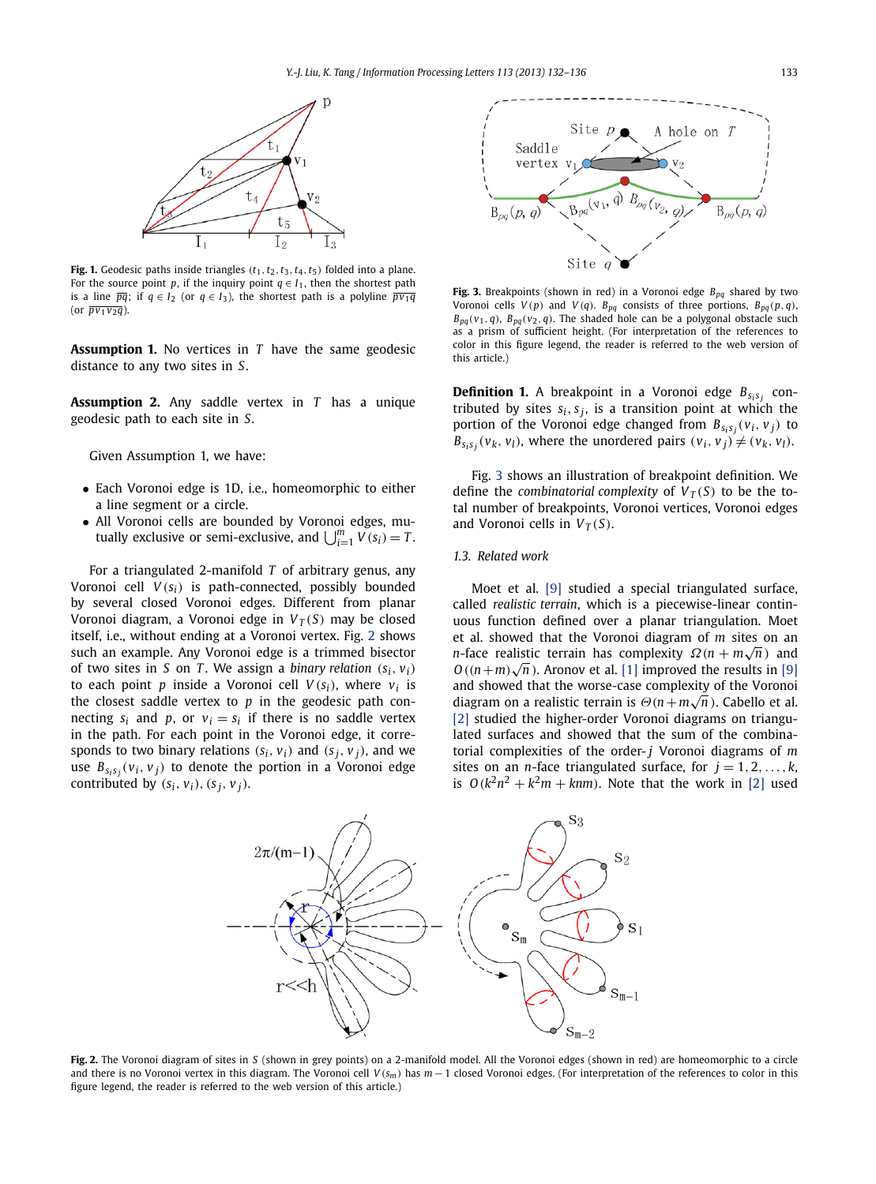<span id="page-1-0"></span>

**Fig. 1.** Geodesic paths inside triangles  $(t_1, t_2, t_3, t_4, t_5)$  folded into a plane. For the source point *p*, if the inquiry point  $q \in I_1$ , then the shortest path is a line  $\overline{pq}$ ; if  $q \in I_2$  (or  $q \in I_3$ ), the shortest path is a polyline  $\overline{p v_1 q}$ (or  $\overline{pv_1v_2q}$ ).

**Assumption 1.** No vertices in *T* have the same geodesic distance to any two sites in *S*.

**Assumption 2.** Any saddle vertex in *T* has a unique geodesic path to each site in *S*.

Given Assumption 1, we have:

- Each Voronoi edge is 1D, i.e., homeomorphic to either a line segment or a circle.
- All Voronoi cells are bounded by Voronoi edges, mutually exclusive or semi-exclusive, and  $\bigcup_{i=1}^{m} V(s_i) = T$ .

For a triangulated 2-manifold *T* of arbitrary genus, any Voronoi cell  $V(s_i)$  is path-connected, possibly bounded by several closed Voronoi edges. Different from planar Voronoi diagram, a Voronoi edge in  $V_T(S)$  may be closed itself, i.e., without ending at a Voronoi vertex. Fig. 2 shows such an example. Any Voronoi edge is a trimmed bisector of two sites in *S* on *T*. We assign a *binary relation*  $(s_i, v_i)$ to each point *p* inside a Voronoi cell  $V(s_i)$ , where  $v_i$  is the closest saddle vertex to *p* in the geodesic path connecting  $s_i$  and p, or  $v_i = s_i$  if there is no saddle vertex in the path. For each point in the Voronoi edge, it corresponds to two binary relations  $(s_i, v_i)$  and  $(s_j, v_j)$ , and we use  $B_{s_i s_i}(v_i, v_j)$  to denote the portion in a Voronoi edge contributed by  $(s_i, v_i)$ ,  $(s_i, v_j)$ .



**Fig. 3.** Breakpoints (shown in red) in a Voronoi edge  $B_{pq}$  shared by two Voronoi cells  $V(p)$  and  $V(q)$ .  $B_{pq}$  consists of three portions,  $B_{pq}(p,q)$ ,  $B_{pq}(v_1, q)$ ,  $B_{pq}(v_2, q)$ . The shaded hole can be a polygonal obstacle such as a prism of sufficient height. (For interpretation of the references to color in this figure legend, the reader is referred to the web version of this article.)

**Definition 1.** A breakpoint in a Voronoi edge  $B_{s_i s_j}$  contributed by sites  $s_i, s_j$ , is a transition point at which the portion of the Voronoi edge changed from  $B_{s_i s_j}(v_i, v_j)$  to  $B_{s_i s_i}(v_k, v_l)$ , where the unordered pairs  $(v_i, v_j) \neq (v_k, v_l)$ .

Fig. 3 shows an illustration of breakpoint definition. We define the *combinatorial complexity* of  $V_T(S)$  to be the total number of breakpoints, Voronoi vertices, Voronoi edges and Voronoi cells in  $V_T(S)$ .

#### *1.3. Related work*

Moet et al. [\[9\]](#page-4-0) studied a special triangulated surface, called *realistic terrain*, which is a piecewise-linear continuous function defined over a planar triangulation. Moet et al. showed that the Voronoi diagram of *m* sites on an *n*-face realistic terrain has complexity  $\Omega(n + m\sqrt{n})$  and *O*<sup> $(n + m)$ </sup>  $\sqrt{n}$ . Aronov et al. [\[1\]](#page-4-0) improved the results in [\[9\]](#page-4-0) and showed that the worse-case complexity of the Voronoi diagram on a realistic terrain is *Θ(n*+*m*√*<sup>n</sup> )*. Cabello et al. [\[2\]](#page-4-0) studied the higher-order Voronoi diagrams on triangulated surfaces and showed that the sum of the combinatorial complexities of the order- *j* Voronoi diagrams of *m* sites on an *n*-face triangulated surface, for  $j = 1, 2, ..., k$ , is  $O(k^2n^2 + k^2m + kmn)$ . Note that the work in [\[2\]](#page-4-0) used



**Fig. 2.** The Voronoi diagram of sites in *S* (shown in grey points) on a 2-manifold model. All the Voronoi edges (shown in red) are homeomorphic to a circle and there is no Voronoi vertex in this diagram. The Voronoi cell *V (sm)* has *m* − 1 closed Voronoi edges. (For interpretation of the references to color in this figure legend, the reader is referred to the web version of this article.)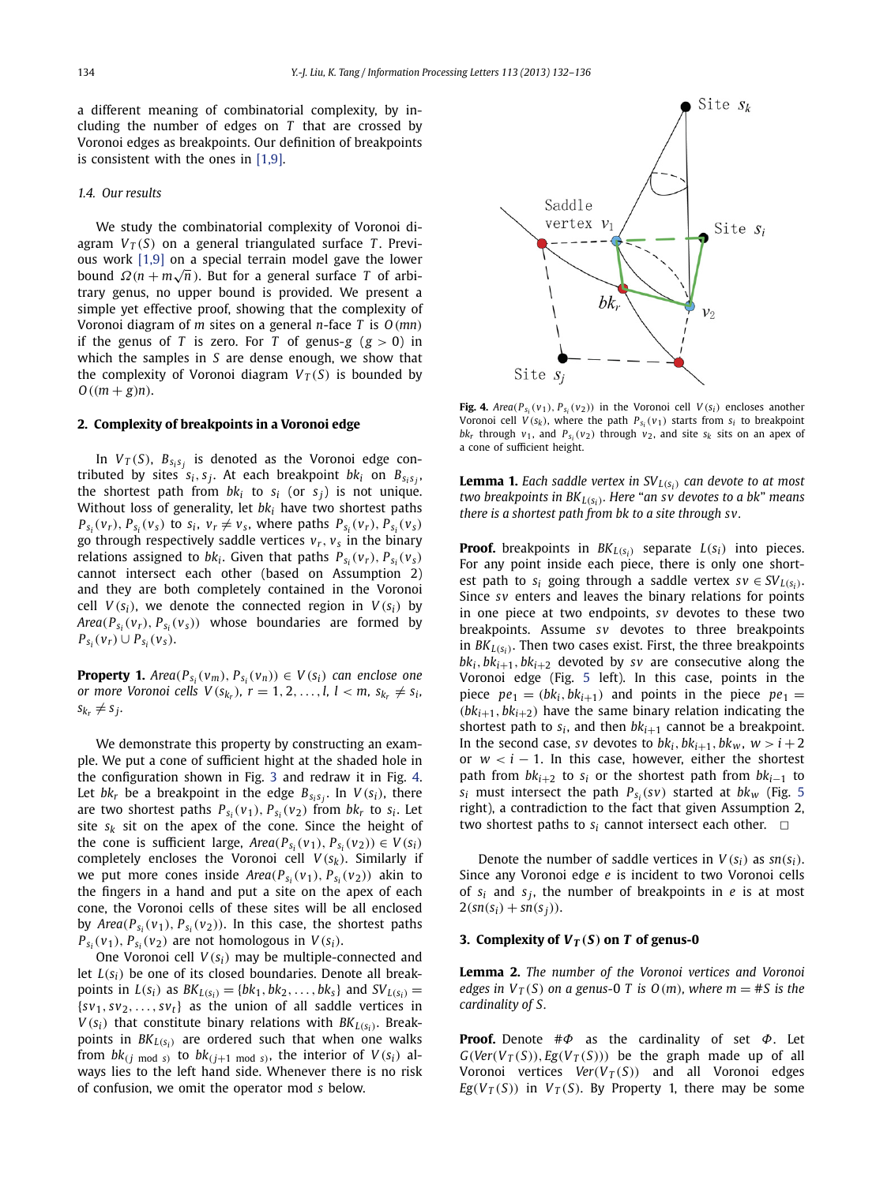a different meaning of combinatorial complexity, by including the number of edges on *T* that are crossed by Voronoi edges as breakpoints. Our definition of breakpoints is consistent with the ones in [\[1,9\].](#page-4-0)

#### *1.4. Our results*

We study the combinatorial complexity of Voronoi diagram  $V_T(S)$  on a general triangulated surface *T*. Previous work [\[1,9\]](#page-4-0) on a special terrain model gave the lower bound  $\Omega(n + m\sqrt{n})$ . But for a general surface *T* of arbitrary genus, no upper bound is provided. We present a simple yet effective proof, showing that the complexity of Voronoi diagram of *m* sites on a general *n*-face *T* is *O(mn)* if the genus of *T* is zero. For *T* of genus-*g*  $(g > 0)$  in which the samples in *S* are dense enough, we show that the complexity of Voronoi diagram  $V_T(S)$  is bounded by *O((m* + *g)n)*.

### **2. Complexity of breakpoints in a Voronoi edge**

In  $V_T(S)$ ,  $B_{S_iS_j}$  is denoted as the Voronoi edge contributed by sites  $s_i, s_j$ . At each breakpoint  $bk_i$  on  $B_{s_i,s_j}$ , the shortest path from  $bk_i$  to  $s_i$  (or  $s_j$ ) is not unique. Without loss of generality, let *bki* have two shortest paths  $P_{s_i}(v_r)$ ,  $P_{s_i}(v_s)$  to  $s_i$ ,  $v_r \neq v_s$ , where paths  $P_{s_i}(v_r)$ ,  $P_{s_i}(v_s)$ go through respectively saddle vertices  $v_r$ ,  $v_s$  in the binary relations assigned to  $bk_i$ . Given that paths  $P_{S_i}(v_r)$ ,  $P_{S_i}(v_s)$ cannot intersect each other (based on Assumption 2) and they are both completely contained in the Voronoi cell  $V(s_i)$ , we denote the connected region in  $V(s_i)$  by *Area*( $P_{s_i}(v_r)$ ,  $P_{s_i}(v_s)$ ) whose boundaries are formed by *P<sub>Si</sub>*( $v_r$ )∪  $P_{S_i}(v_s)$ .

**Property 1.** *Area*( $P_{s_i}(v_m)$ ,  $P_{s_i}(v_n)$ )  $\in V(s_i)$  *can enclose one or more Voronoi cells*  $V(s_{k_r})$ *,*  $r = 1, 2, ..., l$ *,*  $l < m$ *,*  $s_{k_r} \neq s_i$ *,*  $s_{k_r} \neq s_j$ .

We demonstrate this property by constructing an example. We put a cone of sufficient hight at the shaded hole in the configuration shown in Fig. [3](#page-1-0) and redraw it in Fig. 4. Let  $bk_r$  be a breakpoint in the edge  $B_{s_i s_j}$ . In  $V(s_i)$ , there are two shortest paths  $P_{s_i}(v_1), P_{s_i}(v_2)$  from  $bk_r$  to  $s_i$ . Let site  $s_k$  sit on the apex of the cone. Since the height of the cone is sufficient large,  $Area(P_{s_i}(v_1), P_{s_i}(v_2)) \in V(s_i)$ completely encloses the Voronoi cell  $V(s_k)$ . Similarly if we put more cones inside  $Area(P_{s_i}(v_1), P_{s_i}(v_2))$  akin to the fingers in a hand and put a site on the apex of each cone, the Voronoi cells of these sites will be all enclosed by  $Area(P_{s_i}(v_1), P_{s_i}(v_2))$ . In this case, the shortest paths  $P_{s_i}(v_1)$ ,  $P_{s_i}(v_2)$  are not homologous in  $V(s_i)$ .

One Voronoi cell  $V(s_i)$  may be multiple-connected and let  $L(s_i)$  be one of its closed boundaries. Denote all breakpoints in  $L(s_i)$  as  $BK_{L(s_i)} = \{bk_1, bk_2, ..., bk_s\}$  and  $SV_{L(s_i)} =$  $\{sv_1, sv_2, \ldots, sv_t\}$  as the union of all saddle vertices in  $V(s_i)$  that constitute binary relations with  $BK_{L(s_i)}$ . Breakpoints in *BKL(si)* are ordered such that when one walks from  $bk_{(j \mod s)}$  to  $bk_{(j+1 \mod s)}$ , the interior of  $V(s_i)$  always lies to the left hand side. Whenever there is no risk of confusion, we omit the operator mod *s* below.



**Fig. 4.**  $Area(P_{S_i}(v_1), P_{S_i}(v_2))$  in the Voronoi cell  $V(S_i)$  encloses another Voronoi cell  $V(s_k)$ , where the path  $P_{s_i}(v_1)$  starts from  $s_i$  to breakpoint  $bk_r$  through  $v_1$ , and  $P_{s_i}(v_2)$  through  $v_2$ , and site  $s_k$  sits on an apex of a cone of sufficient height.

**Lemma 1.** *Each saddle vertex in*  $SV_{L(s_i)}$  *can devote to at most two breakpoints in BKL(si). Here* "*an sv devotes to a bk*" *means there is a shortest path from bk to a site through sv.*

**Proof.** breakpoints in  $BK_{L(s_i)}$  separate  $L(s_i)$  into pieces. For any point inside each piece, there is only one shortest path to  $s_i$  going through a saddle vertex  $sv \in SV_{L(s_i)}$ . Since *sv* enters and leaves the binary relations for points in one piece at two endpoints, *sv* devotes to these two breakpoints. Assume *sv* devotes to three breakpoints in  $BK_{L(s_i)}$ . Then two cases exist. First, the three breakpoints  $bk_i, bk_{i+1}, bk_{i+2}$  devoted by *sv* are consecutive along the Voronoi edge (Fig. [5](#page-3-0) left). In this case, points in the piece  $pe_1 = (bk_i, bk_{i+1})$  and points in the piece  $pe_1 =$  $(bk_{i+1}, bk_{i+2})$  have the same binary relation indicating the shortest path to  $s_i$ , and then  $bk_{i+1}$  cannot be a breakpoint. In the second case, *sv* devotes to  $bk_i, bk_{i+1}, bk_w, w > i+2$ or  $w < i - 1$ . In this case, however, either the shortest path from  $bk_{i+2}$  to  $s_i$  or the shortest path from  $bk_{i-1}$  to  $s_i$  must intersect the path  $P_{s_i}(sv)$  started at  $bk_w$  (Fig. [5](#page-3-0) right), a contradiction to the fact that given Assumption 2, two shortest paths to  $s_i$  cannot intersect each other.  $\Box$ 

Denote the number of saddle vertices in  $V(s_i)$  as  $sn(s_i)$ . Since any Voronoi edge *e* is incident to two Voronoi cells of  $s_i$  and  $s_j$ , the number of breakpoints in *e* is at most  $2(sin(s_i) + sn(s_i)).$ 

#### **3. Complexity of**  $V_T(S)$  **on** *T* **of genus-0**

**Lemma 2.** *The number of the Voronoi vertices and Voronoi edges in*  $V_T(S)$  *on a genus-0 T is*  $O(m)$ *, where m = #S is the cardinality of S.*

**Proof.** Denote #*Φ* as the cardinality of set *Φ*. Let  $G(Ver(V_T(S)), Eg(V_T(S)))$  be the graph made up of all Voronoi vertices  $Ver(V_T(S))$  and all Voronoi edges *Eg*( $V_T(S)$ ) in  $V_T(S)$ . By Property 1, there may be some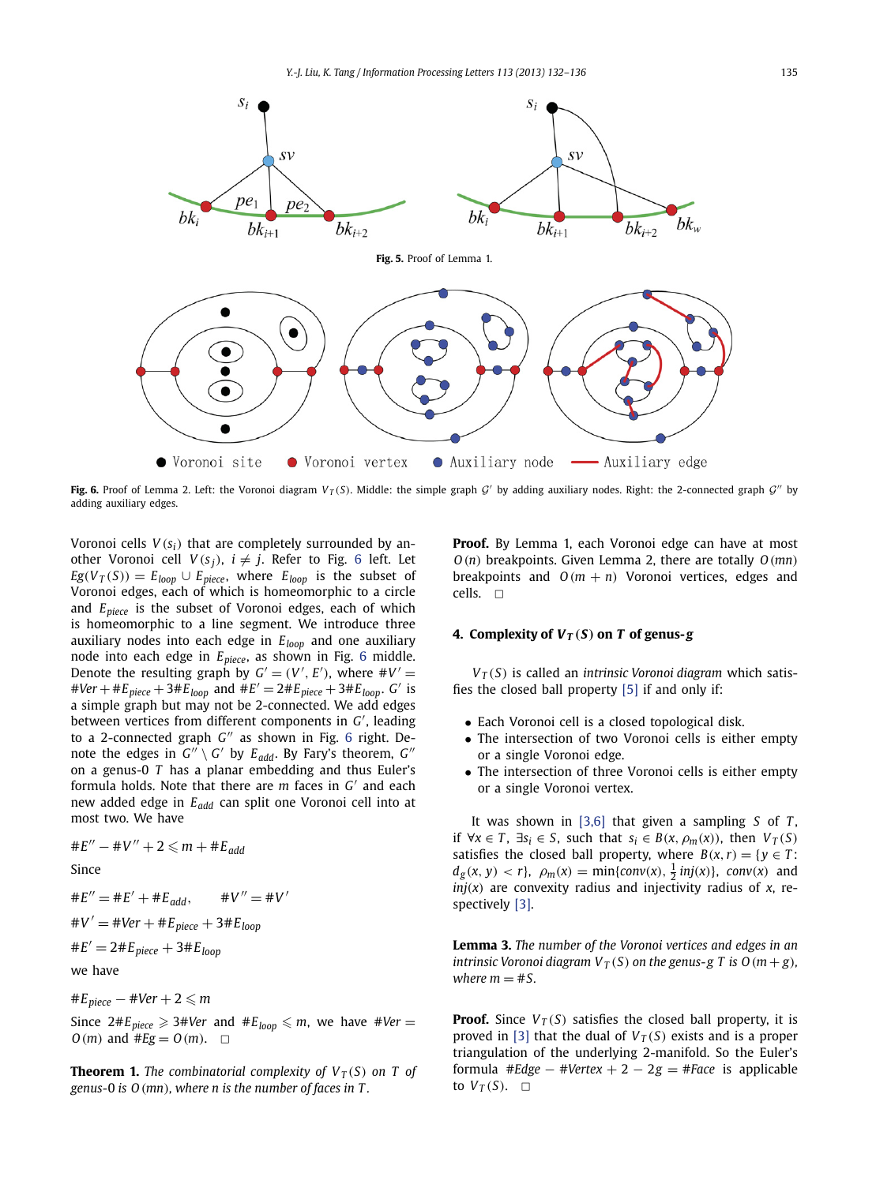<span id="page-3-0"></span>

**Fig. 6.** Proof of Lemma 2. Left: the Voronoi diagram  $V_T(S)$ . Middle: the simple graph G' by adding auxiliary nodes. Right: the 2-connected graph G'' by adding auxiliary edges.

Voronoi cells  $V(s_i)$  that are completely surrounded by another Voronoi cell  $V(s_i)$ ,  $i \neq j$ . Refer to Fig. 6 left. Let  $E_g(V_T(S)) = E_{loop} \cup E_{piece}$ , where  $E_{loop}$  is the subset of Voronoi edges, each of which is homeomorphic to a circle and *Epiece* is the subset of Voronoi edges, each of which is homeomorphic to a line segment. We introduce three auxiliary nodes into each edge in *Eloop* and one auxiliary node into each edge in *Epiece*, as shown in Fig. 6 middle. Denote the resulting graph by  $G' = (V', E')$ , where  $\#V' =$  $#Ver + \#E_{piece} + 3\#E_{loop}$  and  $\#E' = 2\#E_{piece} + 3\#E_{loop}$ . *G'* is a simple graph but may not be 2-connected. We add edges between vertices from different components in *G* , leading to a 2-connected graph *G*<sup>"</sup> as shown in Fig. 6 right. Denote the edges in  $G'' \setminus G'$  by  $E_{add}$ . By Fary's theorem,  $G''$ on a genus-0 *T* has a planar embedding and thus Euler's formula holds. Note that there are *m* faces in *G'* and each new added edge in *Eadd* can split one Voronoi cell into at most two. We have

$$
\#E'' - \#V'' + 2 \leq m + \#E_{add}
$$

Since

$$
\#E'' = \#E' + \#E_{add}, \qquad \#V'' = \#V'
$$

$$
\#V' = \#Ver + \#E_{piece} + 3 \#E_{loop}
$$

$$
#E' = 2#E_{piece} + 3#E_{loop}
$$

we have

# $E_{piece}$   $-$  #Ver  $+$  2  $\leqslant$   $m$ 

 $Since 2#E<sub>piece</sub> \geqslant 3#Ver$  and  $#E<sub>loop</sub> \leqslant m$ , we have  $#Ver =$ *O*(*m*) and #*Eg* = *O*(*m*). □

**Theorem 1.** *The combinatorial complexity of*  $V_T(S)$  *on T of genus-*0 *is O(mn), where n is the number of faces in T .*

**Proof.** By Lemma 1, each Voronoi edge can have at most *O(n)* breakpoints. Given Lemma 2, there are totally *O(mn)* breakpoints and  $O(m + n)$  Voronoi vertices, edges and cells.  $\square$ 

### **4. Complexity of**  $V_T(S)$  **on** *T* **of genus-***g*

*VT (S)* is called an *intrinsic Voronoi diagram* which satisfies the closed ball property [\[5\]](#page-4-0) if and only if:

- Each Voronoi cell is a closed topological disk.
- The intersection of two Voronoi cells is either empty or a single Voronoi edge.
- The intersection of three Voronoi cells is either empty or a single Voronoi vertex.

It was shown in [\[3,6\]](#page-4-0) that given a sampling *S* of *T* , if ∀*x* ∈ *T*, ∃*s*<sub>*i*</sub> ∈ *S*, such that *s*<sub>*i*</sub> ∈ *B*(*x*,  $\rho_m(x)$ ), then  $V_T(S)$ satisfies the closed ball property, where  $B(x, r) = \{y \in T:$  $d_g(x, y) < r$ ,  $\rho_m(x) = \min\{conv(x), \frac{1}{2} \, inj(x)\}$ ,  $conv(x)$  and  $inj(x)$  are convexity radius and injectivity radius of *x*, respectively [\[3\].](#page-4-0)

**Lemma 3.** *The number of the Voronoi vertices and edges in an intrinsic Voronoi diagram*  $V_T(S)$  *on the genus-g T is*  $O(m + g)$ *, where*  $m = \text{\#S}$ .

**Proof.** Since  $V_T(S)$  satisfies the closed ball property, it is proved in [\[3\]](#page-4-0) that the dual of  $V_T(S)$  exists and is a proper triangulation of the underlying 2-manifold. So the Euler's formula #*Edge*  $-$  #Vertex  $+ 2 - 2g =$  #*Face* is applicable to  $V_T(S)$ .  $\Box$